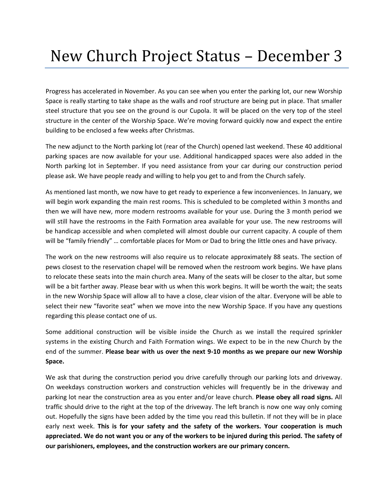## New Church Project Status – December 3

Progress has accelerated in November. As you can see when you enter the parking lot, our new Worship Space is really starting to take shape as the walls and roof structure are being put in place. That smaller steel structure that you see on the ground is our Cupola. It will be placed on the very top of the steel structure in the center of the Worship Space. We're moving forward quickly now and expect the entire building to be enclosed a few weeks after Christmas.

The new adjunct to the North parking lot (rear of the Church) opened last weekend. These 40 additional parking spaces are now available for your use. Additional handicapped spaces were also added in the North parking lot in September. If you need assistance from your car during our construction period please ask. We have people ready and willing to help you get to and from the Church safely.

As mentioned last month, we now have to get ready to experience a few inconveniences. In January, we will begin work expanding the main rest rooms. This is scheduled to be completed within 3 months and then we will have new, more modern restrooms available for your use. During the 3 month period we will still have the restrooms in the Faith Formation area available for your use. The new restrooms will be handicap accessible and when completed will almost double our current capacity. A couple of them will be "family friendly" ... comfortable places for Mom or Dad to bring the little ones and have privacy.

The work on the new restrooms will also require us to relocate approximately 88 seats. The section of pews closest to the reservation chapel will be removed when the restroom work begins. We have plans to relocate these seats into the main church area. Many of the seats will be closer to the altar, but some will be a bit farther away. Please bear with us when this work begins. It will be worth the wait; the seats in the new Worship Space will allow all to have a close, clear vision of the altar. Everyone will be able to select their new "favorite seat" when we move into the new Worship Space. If you have any questions regarding this please contact one of us.

Some additional construction will be visible inside the Church as we install the required sprinkler systems in the existing Church and Faith Formation wings. We expect to be in the new Church by the end of the summer. **Please bear with us over the next 9-10 months as we prepare our new Worship Space.**

We ask that during the construction period you drive carefully through our parking lots and driveway. On weekdays construction workers and construction vehicles will frequently be in the driveway and parking lot near the construction area as you enter and/or leave church. **Please obey all road signs.** All traffic should drive to the right at the top of the driveway. The left branch is now one way only coming out. Hopefully the signs have been added by the time you read this bulletin. If not they will be in place early next week. **This is for your safety and the safety of the workers. Your cooperation is much appreciated. We do not want you or any of the workers to be injured during this period. The safety of our parishioners, employees, and the construction workers are our primary concern.**